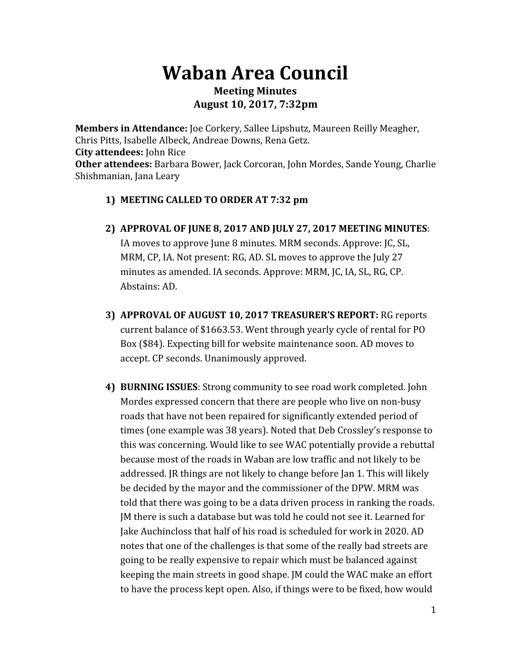## **Waban Area Council**

## **Meeting Minutes August 10, 2017, 7:32pm**

**Members in Attendance:** Joe Corkery, Sallee Lipshutz, Maureen Reilly Meagher, Chris Pitts, Isabelle Albeck, Andreae Downs, Rena Getz. **City attendees:** John Rice **Other attendees:** Barbara Bower, Jack Corcoran, John Mordes, Sande Young, Charlie Shishmanian, Jana Leary

- **1) MEETING CALLED TO ORDER AT 7:32 pm**
- **2) APPROVAL OF JUNE 8, 2017 AND JULY 27, 2017 MEETING MINUTES**: IA moves to approve June 8 minutes. MRM seconds. Approve: JC, SL, MRM, CP, IA. Not present: RG, AD. SL moves to approve the July 27 minutes as amended. IA seconds. Approve: MRM, JC, IA, SL, RG, CP. Abstains: AD.
- **3) APPROVAL OF AUGUST 10, 2017 TREASURER'S REPORT:** RG reports current balance of \$1663.53. Went through yearly cycle of rental for PO Box (\$84). Expecting bill for website maintenance soon. AD moves to accept. CP seconds. Unanimously approved.
- **4) BURNING ISSUES**: Strong community to see road work completed. John Mordes expressed concern that there are people who live on non-busy roads that have not been repaired for significantly extended period of times (one example was 38 years). Noted that Deb Crossley's response to this was concerning. Would like to see WAC potentially provide a rebuttal because most of the roads in Waban are low traffic and not likely to be addressed. JR things are not likely to change before Jan 1. This will likely be decided by the mayor and the commissioner of the DPW. MRM was told that there was going to be a data driven process in ranking the roads. JM there is such a database but was told he could not see it. Learned for Jake Auchincloss that half of his road is scheduled for work in 2020. AD notes that one of the challenges is that some of the really bad streets are going to be really expensive to repair which must be balanced against keeping the main streets in good shape. JM could the WAC make an effort to have the process kept open. Also, if things were to be fixed, how would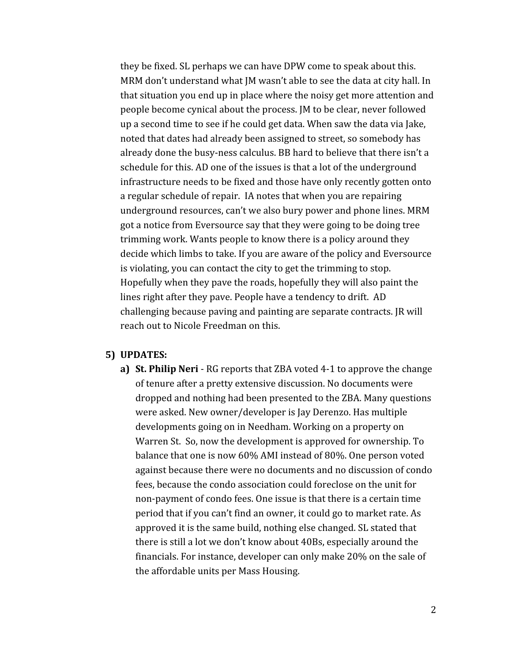they be fixed. SL perhaps we can have DPW come to speak about this. MRM don't understand what JM wasn't able to see the data at city hall. In that situation you end up in place where the noisy get more attention and people become cynical about the process. JM to be clear, never followed up a second time to see if he could get data. When saw the data via Jake, noted that dates had already been assigned to street, so somebody has already done the busy-ness calculus. BB hard to believe that there isn't a schedule for this. AD one of the issues is that a lot of the underground infrastructure needs to be fixed and those have only recently gotten onto a regular schedule of repair. IA notes that when you are repairing underground resources, can't we also bury power and phone lines. MRM got a notice from Eversource say that they were going to be doing tree trimming work. Wants people to know there is a policy around they decide which limbs to take. If you are aware of the policy and Eversource is violating, you can contact the city to get the trimming to stop. Hopefully when they pave the roads, hopefully they will also paint the lines right after they pave. People have a tendency to drift. AD challenging because paving and painting are separate contracts. JR will reach out to Nicole Freedman on this.

## **5) UPDATES:**

**a) St. Philip Neri** - RG reports that ZBA voted 4-1 to approve the change of tenure after a pretty extensive discussion. No documents were dropped and nothing had been presented to the ZBA. Many questions were asked. New owner/developer is Jay Derenzo. Has multiple developments going on in Needham. Working on a property on Warren St. So, now the development is approved for ownership. To balance that one is now 60% AMI instead of 80%. One person voted against because there were no documents and no discussion of condo fees, because the condo association could foreclose on the unit for non-payment of condo fees. One issue is that there is a certain time period that if you can't find an owner, it could go to market rate. As approved it is the same build, nothing else changed. SL stated that there is still a lot we don't know about 40Bs, especially around the financials. For instance, developer can only make 20% on the sale of the affordable units per Mass Housing.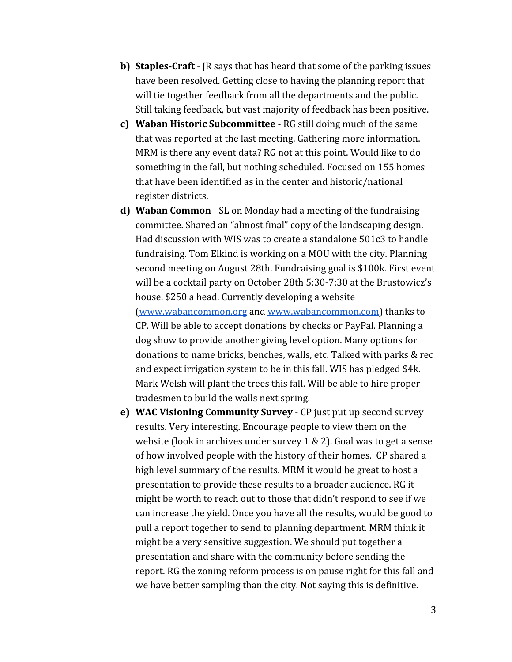- **b) Staples-Craft** JR says that has heard that some of the parking issues have been resolved. Getting close to having the planning report that will tie together feedback from all the departments and the public. Still taking feedback, but vast majority of feedback has been positive.
- **c) Waban Historic Subcommittee** RG still doing much of the same that was reported at the last meeting. Gathering more information. MRM is there any event data? RG not at this point. Would like to do something in the fall, but nothing scheduled. Focused on 155 homes that have been identified as in the center and historic/national register districts.
- **d) Waban Common** SL on Monday had a meeting of the fundraising committee. Shared an "almost final" copy of the landscaping design. Had discussion with WIS was to create a standalone 501c3 to handle fundraising. Tom Elkind is working on a MOU with the city. Planning second meeting on August 28th. Fundraising goal is \$100k. First event will be a cocktail party on October 28th 5:30-7:30 at the Brustowicz's house. \$250 a head. Currently developing a website [\(www.wabancommon.org](http://www.wabancommon.org/) and [www.wabancommon.com\)](http://www.wabancommon.com/) thanks to CP. Will be able to accept donations by checks or PayPal. Planning a dog show to provide another giving level option. Many options for donations to name bricks, benches, walls, etc. Talked with parks & rec and expect irrigation system to be in this fall. WIS has pledged \$4k. Mark Welsh will plant the trees this fall. Will be able to hire proper tradesmen to build the walls next spring.
- **e) WAC Visioning Community Survey** CP just put up second survey results. Very interesting. Encourage people to view them on the website (look in archives under survey 1 & 2). Goal was to get a sense of how involved people with the history of their homes. CP shared a high level summary of the results. MRM it would be great to host a presentation to provide these results to a broader audience. RG it might be worth to reach out to those that didn't respond to see if we can increase the yield. Once you have all the results, would be good to pull a report together to send to planning department. MRM think it might be a very sensitive suggestion. We should put together a presentation and share with the community before sending the report. RG the zoning reform process is on pause right for this fall and we have better sampling than the city. Not saying this is definitive.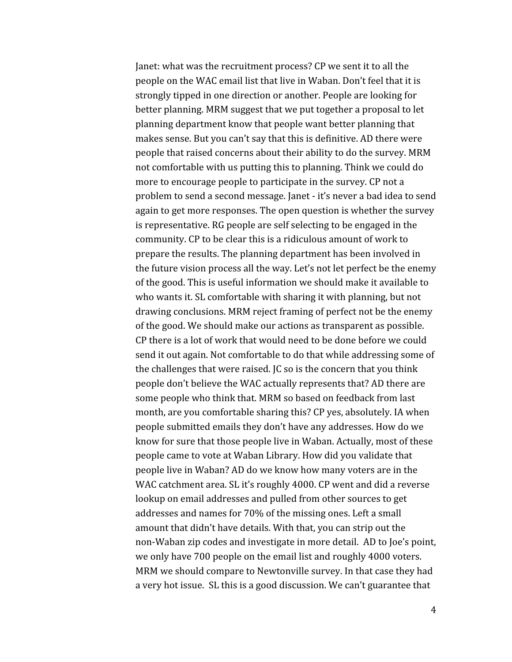Janet: what was the recruitment process? CP we sent it to all the people on the WAC email list that live in Waban. Don't feel that it is strongly tipped in one direction or another. People are looking for better planning. MRM suggest that we put together a proposal to let planning department know that people want better planning that makes sense. But you can't say that this is definitive. AD there were people that raised concerns about their ability to do the survey. MRM not comfortable with us putting this to planning. Think we could do more to encourage people to participate in the survey. CP not a problem to send a second message. Janet - it's never a bad idea to send again to get more responses. The open question is whether the survey is representative. RG people are self selecting to be engaged in the community. CP to be clear this is a ridiculous amount of work to prepare the results. The planning department has been involved in the future vision process all the way. Let's not let perfect be the enemy of the good. This is useful information we should make it available to who wants it. SL comfortable with sharing it with planning, but not drawing conclusions. MRM reject framing of perfect not be the enemy of the good. We should make our actions as transparent as possible. CP there is a lot of work that would need to be done before we could send it out again. Not comfortable to do that while addressing some of the challenges that were raised. JC so is the concern that you think people don't believe the WAC actually represents that? AD there are some people who think that. MRM so based on feedback from last month, are you comfortable sharing this? CP yes, absolutely. IA when people submitted emails they don't have any addresses. How do we know for sure that those people live in Waban. Actually, most of these people came to vote at Waban Library. How did you validate that people live in Waban? AD do we know how many voters are in the WAC catchment area. SL it's roughly 4000. CP went and did a reverse lookup on email addresses and pulled from other sources to get addresses and names for 70% of the missing ones. Left a small amount that didn't have details. With that, you can strip out the non-Waban zip codes and investigate in more detail. AD to Joe's point, we only have 700 people on the email list and roughly 4000 voters. MRM we should compare to Newtonville survey. In that case they had a very hot issue. SL this is a good discussion. We can't guarantee that